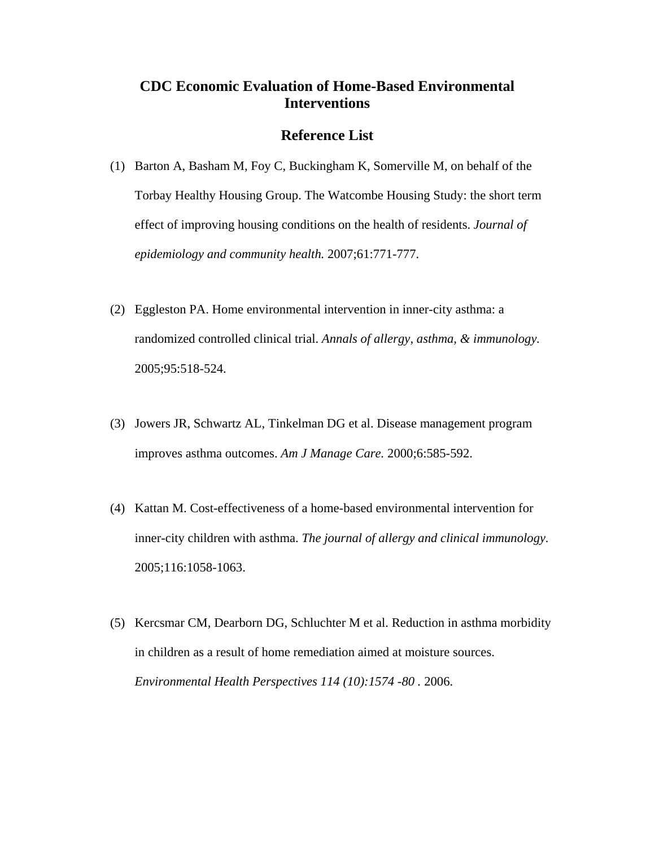## **CDC Economic Evaluation of Home-Based Environmental Interventions**

## **Reference List**

- (1) Barton A, Basham M, Foy C, Buckingham K, Somerville M, on behalf of the Torbay Healthy Housing Group. The Watcombe Housing Study: the short term effect of improving housing conditions on the health of residents. *Journal of epidemiology and community health.* 2007;61:771-777.
- (2) Eggleston PA. Home environmental intervention in inner-city asthma: a randomized controlled clinical trial. *Annals of allergy, asthma, & immunology.* 2005;95:518-524.
- (3) Jowers JR, Schwartz AL, Tinkelman DG et al. Disease management program improves asthma outcomes. *Am J Manage Care.* 2000;6:585-592.
- (4) Kattan M. Cost-effectiveness of a home-based environmental intervention for inner-city children with asthma. *The journal of allergy and clinical immunology.* 2005;116:1058-1063.
- (5) Kercsmar CM, Dearborn DG, Schluchter M et al. Reduction in asthma morbidity in children as a result of home remediation aimed at moisture sources. *Environmental Health Perspectives 114 (10):1574 -80 .* 2006.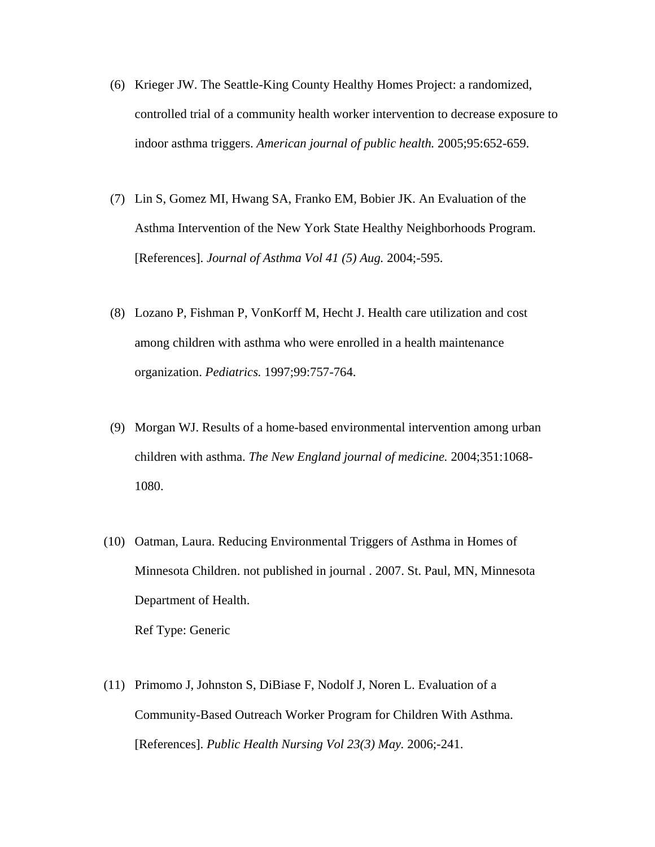- (6) Krieger JW. The Seattle-King County Healthy Homes Project: a randomized, controlled trial of a community health worker intervention to decrease exposure to indoor asthma triggers. *American journal of public health.* 2005;95:652-659.
- (7) Lin S, Gomez MI, Hwang SA, Franko EM, Bobier JK. An Evaluation of the Asthma Intervention of the New York State Healthy Neighborhoods Program. [References]. *Journal of Asthma Vol 41 (5) Aug.* 2004;-595.
- (8) Lozano P, Fishman P, VonKorff M, Hecht J. Health care utilization and cost among children with asthma who were enrolled in a health maintenance organization. *Pediatrics.* 1997;99:757-764.
- (9) Morgan WJ. Results of a home-based environmental intervention among urban children with asthma. *The New England journal of medicine.* 2004;351:1068- 1080.
- (10) Oatman, Laura. Reducing Environmental Triggers of Asthma in Homes of Minnesota Children. not published in journal . 2007. St. Paul, MN, Minnesota Department of Health. Ref Type: Generic
- (11) Primomo J, Johnston S, DiBiase F, Nodolf J, Noren L. Evaluation of a Community-Based Outreach Worker Program for Children With Asthma. [References]. *Public Health Nursing Vol 23(3) May.* 2006;-241.